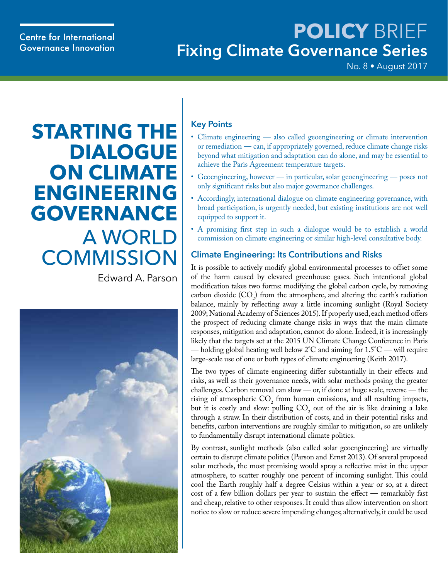## **Centre for International Governance Innovation**

## **POLICY** BRIEF **Fixing Climate Governance Series**

No. 8 • August 2017

# **STARTING THE DIALOGUE ON CLIMATE ENGINEERING GOVERNANCE** A WORLD **COMMISSION**

Edward A. Parson



#### **Key Points**

- Climate engineering also called geoengineering or climate intervention or remediation — can, if appropriately governed, reduce climate change risks beyond what mitigation and adaptation can do alone, and may be essential to achieve the Paris Agreement temperature targets.
- Geoengineering, however in particular, solar geoengineering poses not only significant risks but also major governance challenges.
- Accordingly, international dialogue on climate engineering governance, with broad participation, is urgently needed, but existing institutions are not well equipped to support it.
- A promising first step in such a dialogue would be to establish a world commission on climate engineering or similar high-level consultative body.

## **Climate Engineering: Its Contributions and Risks**

It is possible to actively modify global environmental processes to offset some of the harm caused by elevated greenhouse gases. Such intentional global modification takes two forms: modifying the global carbon cycle, by removing carbon dioxide  $(CO_2)$  from the atmosphere, and altering the earth's radiation balance, mainly by reflecting away a little incoming sunlight (Royal Society 2009; National Academy of Sciences 2015). If properly used, each method offers the prospect of reducing climate change risks in ways that the main climate responses, mitigation and adaptation, cannot do alone. Indeed, it is increasingly likely that the targets set at the 2015 UN Climate Change Conference in Paris — holding global heating well below  $2^{\circ}$ C and aiming for  $1.5^{\circ}$ C — will require large-scale use of one or both types of climate engineering (Keith 2017).

The two types of climate engineering differ substantially in their effects and risks, as well as their governance needs, with solar methods posing the greater challenges. Carbon removal can slow — or, if done at huge scale, reverse — the rising of atmospheric  $CO_2$  from human emissions, and all resulting impacts, but it is costly and slow: pulling  $CO_2$  out of the air is like draining a lake through a straw. In their distribution of costs, and in their potential risks and benefits, carbon interventions are roughly similar to mitigation, so are unlikely to fundamentally disrupt international climate politics.

By contrast, sunlight methods (also called solar geoengineering) are virtually certain to disrupt climate politics (Parson and Ernst 2013). Of several proposed solar methods, the most promising would spray a reflective mist in the upper atmosphere, to scatter roughly one percent of incoming sunlight. This could cool the Earth roughly half a degree Celsius within a year or so, at a direct cost of a few billion dollars per year to sustain the effect — remarkably fast and cheap, relative to other responses. It could thus allow intervention on short notice to slow or reduce severe impending changes; alternatively, it could be used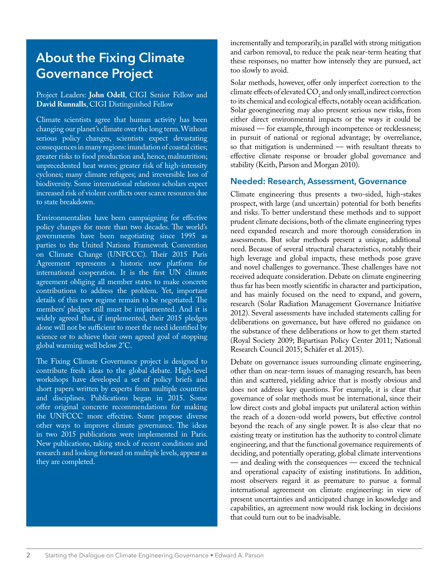## **About the Fixing Climate Governance Project**

#### Project Leaders: **John Odell**, CIGI Senior Fellow and **David Runnalls**, CIGI Distinguished Fellow

Climate scientists agree that human activity has been changing our planet's climate over the long term. Without serious policy changes, scientists expect devastating consequences in many regions: inundation of coastal cities; greater risks to food production and, hence, malnutrition; unprecedented heat waves; greater risk of high-intensity cyclones; many climate refugees; and irreversible loss of biodiversity. Some international relations scholars expect increased risk of violent conflicts over scarce resources due to state breakdown.

Environmentalists have been campaigning for effective policy changes for more than two decades. The world's governments have been negotiating since 1995 as parties to the United Nations Framework Convention on Climate Change (UNFCCC). Their 2015 Paris Agreement represents a historic new platform for international cooperation. It is the first UN climate agreement obliging all member states to make concrete contributions to address the problem. Yet, important details of this new regime remain to be negotiated. The members' pledges still must be implemented. And it is widely agreed that, if implemented, their 2015 pledges alone will not be sufficient to meet the need identified by science or to achieve their own agreed goal of stopping global warming well below 2°C.

The Fixing Climate Governance project is designed to contribute fresh ideas to the global debate. High-level workshops have developed a set of policy briefs and short papers written by experts from multiple countries and disciplines. Publications began in 2015. Some offer original concrete recommendations for making the UNFCCC more effective. Some propose diverse other ways to improve climate governance. The ideas in two 2015 publications were implemented in Paris. New publications, taking stock of recent conditions and research and looking forward on multiple levels, appear as they are completed.

incrementally and temporarily, in parallel with strong mitigation and carbon removal, to reduce the peak near-term heating that these responses, no matter how intensely they are pursued, act too slowly to avoid.

Solar methods, however, offer only imperfect correction to the climate effects of elevated  $CO<sub>2</sub>$  and only small, indirect correction to its chemical and ecological effects, notably ocean acidification. Solar geoengineering may also present serious new risks, from either direct environmental impacts or the ways it could be misused — for example, through incompetence or recklessness; in pursuit of national or regional advantage; by overreliance, so that mitigation is undermined — with resultant threats to effective climate response or broader global governance and stability (Keith, Parson and Morgan 2010).

#### **Needed: Research, Assessment, Governance**

Climate engineering thus presents a two-sided, high-stakes prospect, with large (and uncertain) potential for both benefits and risks. To better understand these methods and to support prudent climate decisions, both of the climate engineering types need expanded research and more thorough consideration in assessments. But solar methods present a unique, additional need. Because of several structural characteristics, notably their high leverage and global impacts, these methods pose grave and novel challenges to governance. These challenges have not received adequate consideration. Debate on climate engineering thus far has been mostly scientific in character and participation, and has mainly focused on the need to expand, and govern, research (Solar Radiation Management Governance Initiative 2012). Several assessments have included statements calling for deliberations on governance, but have offered no guidance on the substance of these deliberations or how to get them started (Royal Society 2009; Bipartisan Policy Center 2011; National Research Council 2015; Schäfer et al. 2015).

Debate on governance issues surrounding climate engineering, other than on near-term issues of managing research, has been thin and scattered, yielding advice that is mostly obvious and does not address key questions. For example, it is clear that governance of solar methods must be international, since their low direct costs and global impacts put unilateral action within the reach of a dozen-odd world powers, but effective control beyond the reach of any single power. It is also clear that no existing treaty or institution has the authority to control climate engineering, and that the functional governance requirements of deciding, and potentially operating, global climate interventions — and dealing with the consequences — exceed the technical and operational capacity of existing institutions. In addition, most observers regard it as premature to pursue a formal international agreement on climate engineering: in view of present uncertainties and anticipated change in knowledge and capabilities, an agreement now would risk locking in decisions that could turn out to be inadvisable.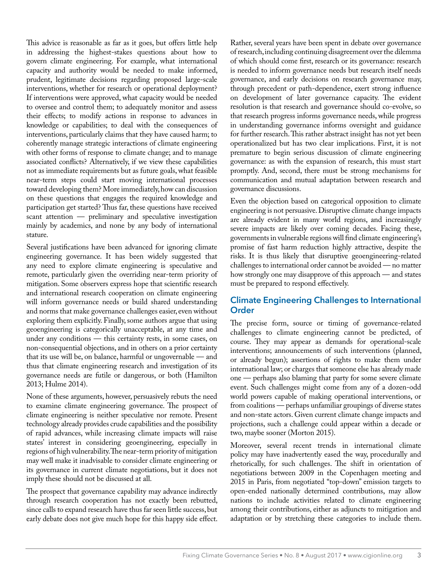This advice is reasonable as far as it goes, but offers little help in addressing the highest-stakes questions about how to govern climate engineering. For example, what international capacity and authority would be needed to make informed, prudent, legitimate decisions regarding proposed large-scale interventions, whether for research or operational deployment? If interventions were approved, what capacity would be needed to oversee and control them; to adequately monitor and assess their effects; to modify actions in response to advances in knowledge or capabilities; to deal with the consequences of interventions, particularly claims that they have caused harm; to coherently manage strategic interactions of climate engineering with other forms of response to climate change; and to manage associated conflicts? Alternatively, if we view these capabilities not as immediate requirements but as future goals, what feasible near-term steps could start moving international processes toward developing them? More immediately, how can discussion on these questions that engages the required knowledge and participation get started? Thus far, these questions have received scant attention — preliminary and speculative investigation mainly by academics, and none by any body of international stature.

Several justifications have been advanced for ignoring climate engineering governance. It has been widely suggested that any need to explore climate engineering is speculative and remote, particularly given the overriding near-term priority of mitigation. Some observers express hope that scientific research and international research cooperation on climate engineering will inform governance needs or build shared understanding and norms that make governance challenges easier, even without exploring them explicitly. Finally, some authors argue that using geoengineering is categorically unacceptable, at any time and under any conditions — this certainty rests, in some cases, on non-consequential objections, and in others on a prior certainty that its use will be, on balance, harmful or ungovernable — and thus that climate engineering research and investigation of its governance needs are futile or dangerous, or both (Hamilton 2013; Hulme 2014).

None of these arguments, however, persuasively rebuts the need to examine climate engineering governance. The prospect of climate engineering is neither speculative nor remote. Present technology already provides crude capabilities and the possibility of rapid advances, while increasing climate impacts will raise states' interest in considering geoengineering, especially in regions of high vulnerability. The near-term priority of mitigation may well make it inadvisable to consider climate engineering or its governance in current climate negotiations, but it does not imply these should not be discussed at all.

The prospect that governance capability may advance indirectly through research cooperation has not exactly been rebutted, since calls to expand research have thus far seen little success, but early debate does not give much hope for this happy side effect. Rather, several years have been spent in debate over governance of research, including continuing disagreement over the dilemma of which should come first, research or its governance: research is needed to inform governance needs but research itself needs governance, and early decisions on research governance may, through precedent or path-dependence, exert strong influence on development of later governance capacity. The evident resolution is that research and governance should co-evolve, so that research progress informs governance needs, while progress in understanding governance informs oversight and guidance for further research. This rather abstract insight has not yet been operationalized but has two clear implications. First, it is not premature to begin serious discussion of climate engineering governance: as with the expansion of research, this must start promptly. And, second, there must be strong mechanisms for communication and mutual adaptation between research and governance discussions.

Even the objection based on categorical opposition to climate engineering is not persuasive. Disruptive climate change impacts are already evident in many world regions, and increasingly severe impacts are likely over coming decades. Facing these, governments in vulnerable regions will find climate engineering's promise of fast harm reduction highly attractive, despite the risks. It is thus likely that disruptive geoengineering-related challenges to international order cannot be avoided — no matter how strongly one may disapprove of this approach — and states must be prepared to respond effectively.

#### **Climate Engineering Challenges to International Order**

The precise form, source or timing of governance-related challenges to climate engineering cannot be predicted, of course. They may appear as demands for operational-scale interventions; announcements of such interventions (planned, or already begun); assertions of rights to make them under international law; or charges that someone else has already made one — perhaps also blaming that party for some severe climate event. Such challenges might come from any of a dozen-odd world powers capable of making operational interventions, or from coalitions — perhaps unfamiliar groupings of diverse states and non-state actors. Given current climate change impacts and projections, such a challenge could appear within a decade or two, maybe sooner (Morton 2015).

Moreover, several recent trends in international climate policy may have inadvertently eased the way, procedurally and rhetorically, for such challenges. The shift in orientation of negotiations between 2009 in the Copenhagen meeting and 2015 in Paris, from negotiated "top-down" emission targets to open-ended nationally determined contributions, may allow nations to include activities related to climate engineering among their contributions, either as adjuncts to mitigation and adaptation or by stretching these categories to include them.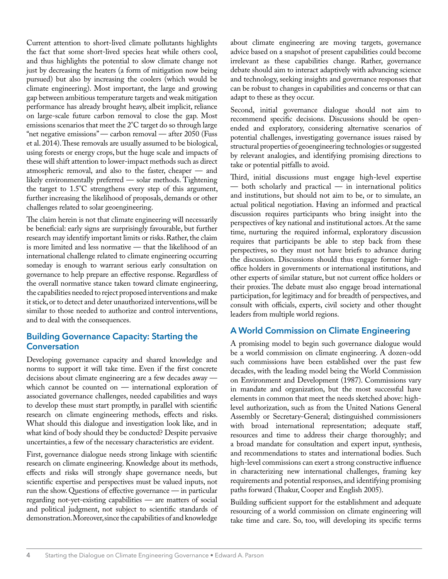Current attention to short-lived climate pollutants highlights the fact that some short-lived species heat while others cool, and thus highlights the potential to slow climate change not just by decreasing the heaters (a form of mitigation now being pursued) but also by increasing the coolers (which would be climate engineering). Most important, the large and growing gap between ambitious temperature targets and weak mitigation performance has already brought heavy, albeit implicit, reliance on large-scale future carbon removal to close the gap. Most emissions scenarios that meet the 2°C target do so through large "net negative emissions" — carbon removal — after 2050 (Fuss et al. 2014). These removals are usually assumed to be biological, using forests or energy crops, but the huge scale and impacts of these will shift attention to lower-impact methods such as direct atmospheric removal, and also to the faster, cheaper — and likely environmentally preferred — solar methods. Tightening the target to 1.5°C strengthens every step of this argument, further increasing the likelihood of proposals, demands or other challenges related to solar geoengineering.

The claim herein is not that climate engineering will necessarily be beneficial: early signs are surprisingly favourable, but further research may identify important limits or risks. Rather, the claim is more limited and less normative — that the likelihood of an international challenge related to climate engineering occurring someday is enough to warrant serious early consultation on governance to help prepare an effective response. Regardless of the overall normative stance taken toward climate engineering, the capabilities needed to reject proposed interventions and make it stick, or to detect and deter unauthorized interventions, will be similar to those needed to authorize and control interventions, and to deal with the consequences.

#### **Building Governance Capacity: Starting the Conversation**

Developing governance capacity and shared knowledge and norms to support it will take time. Even if the first concrete decisions about climate engineering are a few decades away which cannot be counted on — international exploration of associated governance challenges, needed capabilities and ways to develop these must start promptly, in parallel with scientific research on climate engineering methods, effects and risks. What should this dialogue and investigation look like, and in what kind of body should they be conducted? Despite pervasive uncertainties, a few of the necessary characteristics are evident.

First, governance dialogue needs strong linkage with scientific research on climate engineering. Knowledge about its methods, effects and risks will strongly shape governance needs, but scientific expertise and perspectives must be valued inputs, not run the show. Questions of effective governance — in particular regarding not-yet-existing capabilities — are matters of social and political judgment, not subject to scientific standards of demonstration. Moreover, since the capabilities of and knowledge

about climate engineering are moving targets, governance advice based on a snapshot of present capabilities could become irrelevant as these capabilities change. Rather, governance debate should aim to interact adaptively with advancing science and technology, seeking insights and governance responses that can be robust to changes in capabilities and concerns or that can adapt to these as they occur.

Second, initial governance dialogue should not aim to recommend specific decisions. Discussions should be openended and exploratory, considering alternative scenarios of potential challenges, investigating governance issues raised by structural properties of geoengineering technologies or suggested by relevant analogies, and identifying promising directions to take or potential pitfalls to avoid.

Third, initial discussions must engage high-level expertise — both scholarly and practical — in international politics and institutions, but should not aim to be, or to simulate, an actual political negotiation. Having an informed and practical discussion requires participants who bring insight into the perspectives of key national and institutional actors. At the same time, nurturing the required informal, exploratory discussion requires that participants be able to step back from these perspectives, so they must not have briefs to advance during the discussion. Discussions should thus engage former highoffice holders in governments or international institutions, and other experts of similar stature, but not current office holders or their proxies. The debate must also engage broad international participation, for legitimacy and for breadth of perspectives, and consult with officials, experts, civil society and other thought leaders from multiple world regions.

#### **A World Commission on Climate Engineering**

A promising model to begin such governance dialogue would be a world commission on climate engineering. A dozen-odd such commissions have been established over the past few decades, with the leading model being the World Commission on Environment and Development (1987). Commissions vary in mandate and organization, but the most successful have elements in common that meet the needs sketched above: highlevel authorization, such as from the United Nations General Assembly or Secretary-General; distinguished commissioners with broad international representation; adequate staff, resources and time to address their charge thoroughly; and a broad mandate for consultation and expert input, synthesis, and recommendations to states and international bodies. Such high-level commissions can exert a strong constructive influence in characterizing new international challenges, framing key requirements and potential responses, and identifying promising paths forward (Thakur, Cooper and English 2005).

Building sufficient support for the establishment and adequate resourcing of a world commission on climate engineering will take time and care. So, too, will developing its specific terms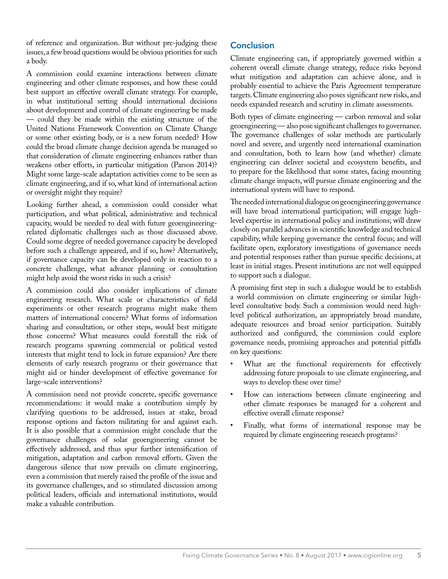of reference and organization. But without pre-judging these issues, a few broad questions would be obvious priorities for such a body.

A commission could examine interactions between climate engineering and other climate responses, and how these could best support an effective overall climate strategy. For example, in what institutional setting should international decisions about development and control of climate engineering be made — could they be made within the existing structure of the United Nations Framework Convention on Climate Change or some other existing body, or is a new forum needed? How could the broad climate change decision agenda be managed so that consideration of climate engineering enhances rather than weakens other efforts, in particular mitigation (Parson 2014)? Might some large-scale adaptation activities come to be seen as climate engineering, and if so, what kind of international action or oversight might they require?

Looking further ahead, a commission could consider what participation, and what political, administrative and technical capacity, would be needed to deal with future geoengineeringrelated diplomatic challenges such as those discussed above. Could some degree of needed governance capacity be developed before such a challenge appeared, and if so, how? Alternatively, if governance capacity can be developed only in reaction to a concrete challenge, what advance planning or consultation might help avoid the worst risks in such a crisis?

A commission could also consider implications of climate engineering research. What scale or characteristics of field experiments or other research programs might make them matters of international concern? What forms of information sharing and consultation, or other steps, would best mitigate those concerns? What measures could forestall the risk of research programs spawning commercial or political vested interests that might tend to lock in future expansion? Are there elements of early research programs or their governance that might aid or hinder development of effective governance for large-scale interventions?

A commission need not provide concrete, specific governance recommendations: it would make a contribution simply by clarifying questions to be addressed, issues at stake, broad response options and factors militating for and against each. It is also possible that a commission might conclude that the governance challenges of solar geoengineering cannot be effectively addressed, and thus spur further intensification of mitigation, adaptation and carbon removal efforts. Given the dangerous silence that now prevails on climate engineering, even a commission that merely raised the profile of the issue and its governance challenges, and so stimulated discussion among political leaders, officials and international institutions, would make a valuable contribution.

### **Conclusion**

Climate engineering can, if appropriately governed within a coherent overall climate change strategy, reduce risks beyond what mitigation and adaptation can achieve alone, and is probably essential to achieve the Paris Agreement temperature targets. Climate engineering also poses significant new risks, and needs expanded research and scrutiny in climate assessments.

Both types of climate engineering — carbon removal and solar geoengineering — also pose significant challenges to governance. The governance challenges of solar methods are particularly novel and severe, and urgently need international examination and consultation, both to learn how (and whether) climate engineering can deliver societal and ecosystem benefits, and to prepare for the likelihood that some states, facing mounting climate change impacts, will pursue climate engineering and the international system will have to respond.

The needed international dialogue on geoengineering governance will have broad international participation; will engage highlevel expertise in international policy and institutions; will draw closely on parallel advances in scientific knowledge and technical capability, while keeping governance the central focus; and will facilitate open, exploratory investigations of governance needs and potential responses rather than pursue specific decisions, at least in initial stages. Present institutions are not well equipped to support such a dialogue.

A promising first step in such a dialogue would be to establish a world commission on climate engineering or similar highlevel consultative body. Such a commission would need highlevel political authorization, an appropriately broad mandate, adequate resources and broad senior participation. Suitably authorized and configured, the commission could explore governance needs, promising approaches and potential pitfalls on key questions:

- What are the functional requirements for effectively addressing future proposals to use climate engineering, and ways to develop these over time?
- How can interactions between climate engineering and other climate responses be managed for a coherent and effective overall climate response?
- Finally, what forms of international response may be required by climate engineering research programs?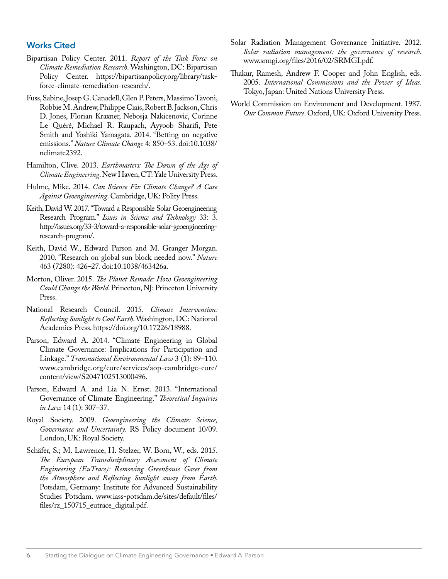#### **Works Cited**

- Bipartisan Policy Center. 2011. *Report of the Task Force on Climate Remediation Research*. Washington, DC: Bipartisan Policy Center. https://bipartisanpolicy.org/library/taskforce-climate-remediation-research/.
- Fuss, Sabine, Josep G. Canadell, Glen P. Peters, Massimo Tavoni, Robbie M. Andrew, Philippe Ciais, Robert B. Jackson, Chris D. Jones, Florian Kraxner, Nebosja Nakicenovic, Corinne Le Quéré, Michael R. Raupach, Ayyoob Sharifi, Pete Smith and Yoshiki Yamagata. 2014. "Betting on negative emissions." *Nature Climate Change* 4: 850–53. doi:10.1038/ nclimate2392.
- Hamilton, Clive. 2013. *Earthmasters: The Dawn of the Age of Climate Engineering*. New Haven, CT: Yale University Press.
- Hulme, Mike. 2014. *Can Science Fix Climate Change? A Case Against Geoengineering*. Cambridge, UK: Polity Press.
- Keith, David W. 2017. "Toward a Responsible Solar Geoengineering Research Program." *Issues in Science and Technology* 33: 3. http://issues.org/33-3/toward-a-responsible-solar-geoengineeringresearch-program/.
- Keith, David W., Edward Parson and M. Granger Morgan. 2010. "Research on global sun block needed now." *Nature* 463 (7280): 426–27. doi:10.1038/463426a.
- Morton, Oliver. 2015. *The Planet Remade: How Geoengineering Could Change the World*. Princeton, NJ: Princeton University Press.
- National Research Council. 2015. *Climate Intervention: Reflecting Sunlight to Cool Earth*. Washington, DC: National Academies Press. https://doi.org/10.17226/18988.
- Parson, Edward A. 2014. "Climate Engineering in Global Climate Governance: Implications for Participation and Linkage." *Transnational Environmental Law* 3 (1): 89–110. www.cambridge.org/core/services/aop-cambridge-core/ content/view/S2047102513000496.
- Parson, Edward A. and Lia N. Ernst. 2013. "International Governance of Climate Engineering." *Theoretical Inquiries in Law* 14 (1): 307–37.
- Royal Society. 2009. *Geoengineering the Climate: Science, Governance and Uncertainty*. RS Policy document 10/09. London, UK: Royal Society.
- Schäfer, S.; M. Lawrence, H. Stelzer, W. Born, W., eds. 2015. *The European Transdisciplinary Assessment of Climate Engineering (EuTrace): Removing Greenhouse Gases from the Atmosphere and Reflecting Sunlight away from Earth*. Potsdam, Germany: Institute for Advanced Sustainability Studies Potsdam. www.iass-potsdam.de/sites/default/files/ files/rz\_150715\_eutrace\_digital.pdf.
- Solar Radiation Management Governance Initiative. 2012. *Solar radiation management: the governance of research*. www.srmgi.org/files/2016/02/SRMGI.pdf.
- Thakur, Ramesh, Andrew F. Cooper and John English, eds. 2005. *International Commissions and the Power of Ideas*. Tokyo, Japan: United Nations University Press.
- World Commission on Environment and Development. 1987. *Our Common Future*. Oxford, UK: Oxford University Press.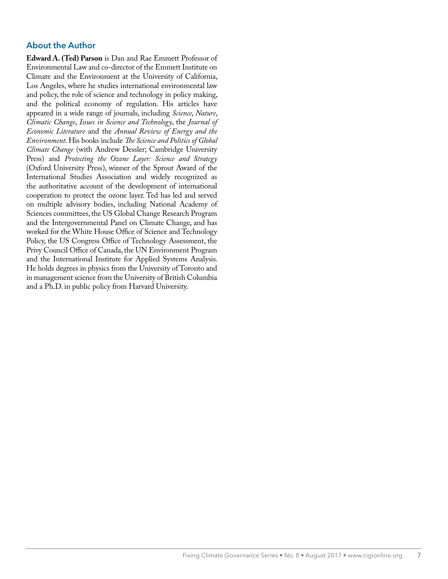### **About the Author**

**Edward A. (Ted) Parson** is Dan and Rae Emmett Professor of Environmental Law and co-director of the Emmett Institute on Climate and the Environment at the University of California, Los Angeles, where he studies international environmental law and policy, the role of science and technology in policy making, and the political economy of regulation. His articles have appeared in a wide range of journals, including *Science*, *Nature*, *Climatic Change*, *Issues in Science and Technology*, the *Journal of Economic Literature* and the *Annual Review of Energy and the Environment*. His books include *The Science and Politics of Global Climate Change* (with Andrew Dessler; Cambridge University Press) and *Protecting the Ozone Layer: Science and Strategy*  (Oxford University Press), winner of the Sprout Award of the International Studies Association and widely recognized as the authoritative account of the development of international cooperation to protect the ozone layer. Ted has led and served on multiple advisory bodies, including National Academy of Sciences committees, the US Global Change Research Program and the Intergovernmental Panel on Climate Change, and has worked for the White House Office of Science and Technology Policy, the US Congress Office of Technology Assessment, the Privy Council Office of Canada, the UN Environment Program and the International Institute for Applied Systems Analysis. He holds degrees in physics from the University of Toronto and in management science from the University of British Columbia and a Ph.D. in public policy from Harvard University.